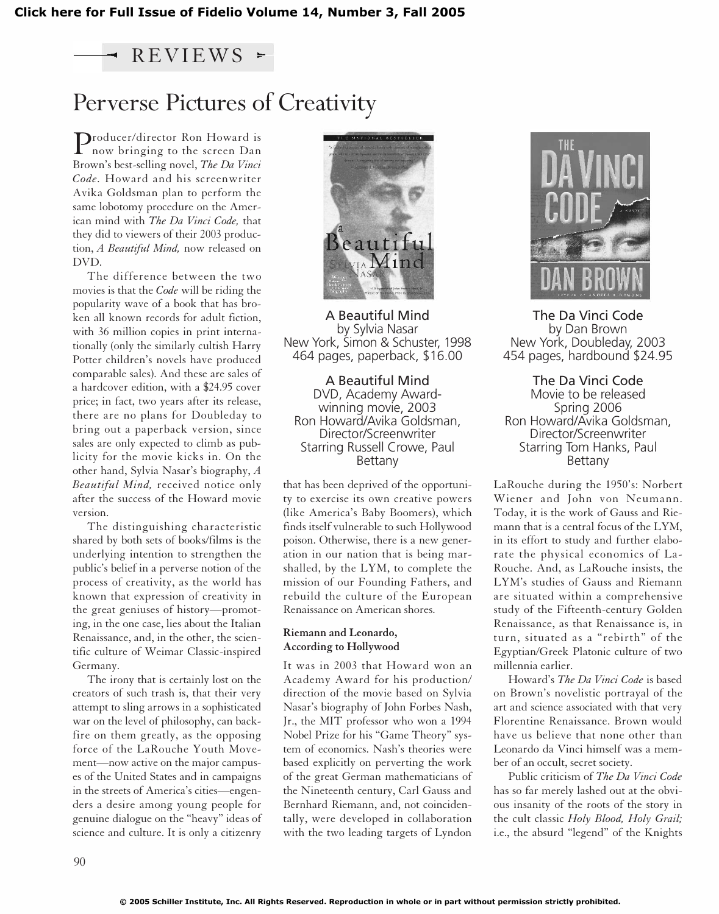### $REVIEWS$  =

## Perverse Pictures of Creativity

**Producer/director Ron Howard is<br>now bringing to the screen Dan<br>now bringing to the screen Dan** Brown's best-selling novel, *The Da Vinci Code.* Howard and his screenwriter Avika Goldsman plan to perform the same lobotomy procedure on the American mind with *The Da Vinci Code,* that they did to viewers of their 2003 production, *A Beautiful Mind,* now released on DVD.

The difference between the two movies is that the *Code* will be riding the popularity wave of a book that has broken all known records for adult fiction, with 36 million copies in print internationally (only the similarly cultish Harry Potter children's novels have produced comparable sales). And these are sales of a hardcover edition, with a \$24.95 cover price; in fact, two years after its release, there are no plans for Doubleday to bring out a paperback version, since sales are only expected to climb as publicity for the movie kicks in. On the other hand, Sylvia Nasar's biography, *A Beautiful Mind,* received notice only after the success of the Howard movie version.

The distinguishing characteristic shared by both sets of books/films is the underlying intention to strengthen the public's belief in a perverse notion of the process of creativity, as the world has known that expression of creativity in the great geniuses of history—promoting, in the one case, lies about the Italian Renaissance, and, in the other, the scientific culture of Weimar Classic-inspired Germany.

The irony that is certainly lost on the creators of such trash is, that their very attempt to sling arrows in a sophisticated war on the level of philosophy, can backfire on them greatly, as the opposing force of the LaRouche Youth Movement—now active on the major campuses of the United States and in campaigns in the streets of America's cities—engenders a desire among young people for genuine dialogue on the "heavy" ideas of science and culture. It is only a citizenry



A Beautiful Mind by Sylvia Nasar New York, Simon & Schuster, 1998 464 pages, paperback, \$16.00

A Beautiful Mind DVD, Academy Awardwinning movie, 2003 Ron Howard/Avika Goldsman, Director/Screenwriter Starring Russell Crowe, Paul Bettany

that has been deprived of the opportunity to exercise its own creative powers (like America's Baby Boomers), which finds itself vulnerable to such Hollywood poison. Otherwise, there is a new generation in our nation that is being marshalled, by the LYM, to complete the mission of our Founding Fathers, and rebuild the culture of the European Renaissance on American shores.

#### **Riemann and Leonardo, According to Hollywood**

It was in 2003 that Howard won an Academy Award for his production/ direction of the movie based on Sylvia Nasar's biography of John Forbes Nash, Jr., the MIT professor who won a 1994 Nobel Prize for his "Game Theory" system of economics. Nash's theories were based explicitly on perverting the work of the great German mathematicians of the Nineteenth century, Carl Gauss and Bernhard Riemann, and, not coincidentally, were developed in collaboration with the two leading targets of Lyndon



The Da Vinci Code by Dan Brown New York, Doubleday, 2003 454 pages, hardbound \$24.95

The Da Vinci Code Movie to be released Spring 2006 Ron Howard/Avika Goldsman, Director/Screenwriter Starring Tom Hanks, Paul Bettany

LaRouche during the 1950's: Norbert Wiener and John von Neumann. Today, it is the work of Gauss and Riemann that is a central focus of the LYM, in its effort to study and further elaborate the physical economics of La-Rouche. And, as LaRouche insists, the LYM's studies of Gauss and Riemann are situated within a comprehensive study of the Fifteenth-century Golden Renaissance, as that Renaissance is, in turn, situated as a "rebirth" of the Egyptian/Greek Platonic culture of two millennia earlier.

Howard's *The Da Vinci Code* is based on Brown's novelistic portrayal of the art and science associated with that very Florentine Renaissance. Brown would have us believe that none other than Leonardo da Vinci himself was a member of an occult, secret society.

Public criticism of *The Da Vinci Code* has so far merely lashed out at the obvious insanity of the roots of the story in the cult classic *Holy Blood, Holy Grail;* i.e., the absurd "legend" of the Knights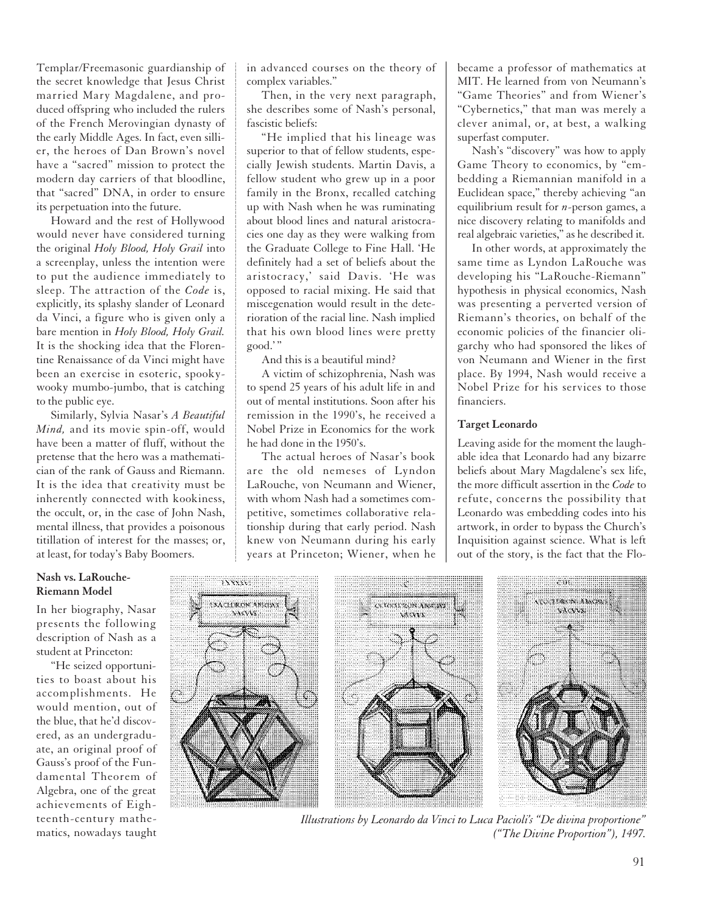Templar/Freemasonic guardianship of the secret knowledge that Jesus Christ married Mary Magdalene, and produced offspring who included the rulers of the French Merovingian dynasty of the early Middle Ages. In fact, even sillier, the heroes of Dan Brown's novel have a "sacred" mission to protect the modern day carriers of that bloodline, that "sacred" DNA, in order to ensure its perpetuation into the future.

Howard and the rest of Hollywood would never have considered turning the original *Holy Blood, Holy Grail* into a screenplay, unless the intention were to put the audience immediately to sleep. The attraction of the *Code* is, explicitly, its splashy slander of Leonard da Vinci, a figure who is given only a bare mention in *Holy Blood, Holy Grail.* It is the shocking idea that the Florentine Renaissance of da Vinci might have been an exercise in esoteric, spookywooky mumbo-jumbo, that is catching to the public eye.

Similarly, Sylvia Nasar's *A Beautiful Mind,* and its movie spin-off, would have been a matter of fluff, without the pretense that the hero was a mathematician of the rank of Gauss and Riemann. It is the idea that creativity must be inherently connected with kookiness, the occult, or, in the case of John Nash, mental illness, that provides a poisonous titillation of interest for the masses; or, at least, for today's Baby Boomers.

in advanced courses on the theory of complex variables."

Then, in the very next paragraph, she describes some of Nash's personal, fascistic beliefs:

"He implied that his lineage was superior to that of fellow students, especially Jewish students. Martin Davis, a fellow student who grew up in a poor family in the Bronx, recalled catching up with Nash when he was ruminating about blood lines and natural aristocracies one day as they were walking from the Graduate College to Fine Hall. 'He definitely had a set of beliefs about the aristocracy,' said Davis. 'He was opposed to racial mixing. He said that miscegenation would result in the deterioration of the racial line. Nash implied that his own blood lines were pretty good."

And this is a beautiful mind?

A victim of schizophrenia, Nash was to spend 25 years of his adult life in and out of mental institutions. Soon after his remission in the 1990's, he received a Nobel Prize in Economics for the work he had done in the 1950's.

The actual heroes of Nasar's book are the old nemeses of Lyndon LaRouche, von Neumann and Wiener, with whom Nash had a sometimes competitive, sometimes collaborative relationship during that early period. Nash knew von Neumann during his early years at Princeton; Wiener, when he became a professor of mathematics at MIT. He learned from von Neumann's "Game Theories" and from Wiener's "Cybernetics," that man was merely a clever animal, or, at best, a walking superfast computer.

Nash's "discovery" was how to apply Game Theory to economics, by "embedding a Riemannian manifold in a Euclidean space," thereby achieving "an equilibrium result for *n*-person games, a nice discovery relating to manifolds and real algebraic varieties," as he described it.

In other words, at approximately the same time as Lyndon LaRouche was developing his "LaRouche-Riemann" hypothesis in physical economics, Nash was presenting a perverted version of Riemann's theories, on behalf of the economic policies of the financier oligarchy who had sponsored the likes of von Neumann and Wiener in the first place. By 1994, Nash would receive a Nobel Prize for his services to those financiers.

#### **Target Leonardo**

Leaving aside for the moment the laughable idea that Leonardo had any bizarre beliefs about Mary Magdalene's sex life, the more difficult assertion in the *Code* to refute, concerns the possibility that Leonardo was embedding codes into his artwork, in order to bypass the Church's Inquisition against science. What is left out of the story, is the fact that the Flo-

#### **Nash vs. LaRouche-Riemann Model**

In her biography, Nasar presents the following description of Nash as a student at Princeton:

"He seized opportunities to boast about his accomplishments. He would mention, out of the blue, that he'd discovered, as an undergraduate, an original proof of Gauss's proof of the Fundamental Theorem of Algebra, one of the great achievements of Eighteenth-century mathematics, nowadays taught



*Illustrations by Leonardo da Vinci to Luca Pacioli's "De divina proportione" ("The Divine Proportion"), 1497.*